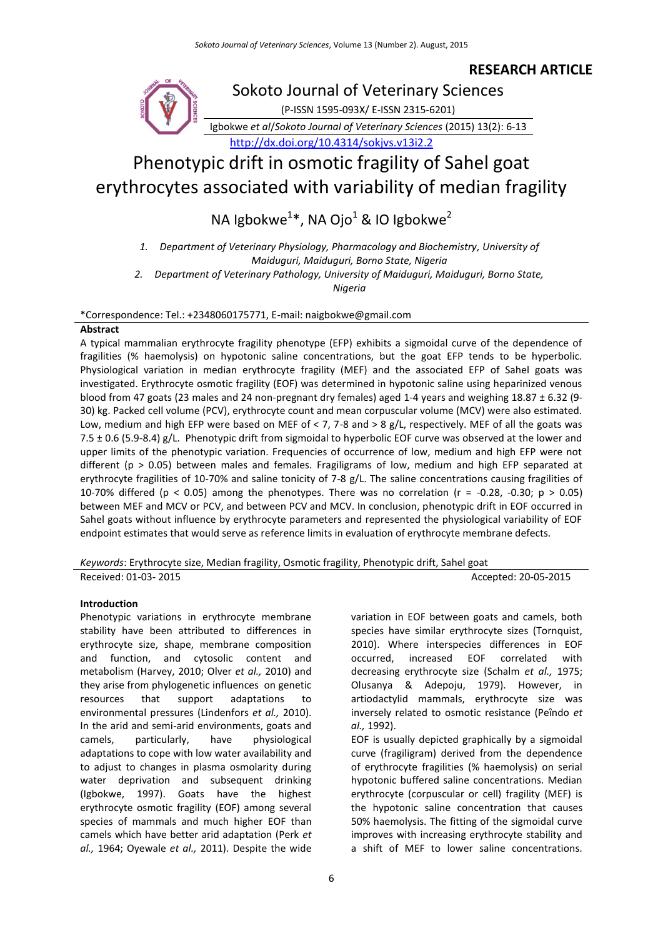# **RESEARCH ARTICLE**



# Phenotypic drift in osmotic fragility of Sahel goat erythrocytes associated with variability of median fragility

NA Igbokwe $^{1*}$ , NA Ojo $^{1}$  & IO Igbokwe $^{2}$ 

*1. Department of Veterinary Physiology, Pharmacology and Biochemistry, University of Maiduguri, Maiduguri, Borno State, Nigeria*

*2. Department of Veterinary Pathology, University of Maiduguri, Maiduguri, Borno State,* 

*Nigeria*

\*Correspondence: Tel.: +2348060175771, E-mail: naigbokwe@gmail.com

#### **Abstract**

A typical mammalian erythrocyte fragility phenotype (EFP) exhibits a sigmoidal curve of the dependence of fragilities (% haemolysis) on hypotonic saline concentrations, but the goat EFP tends to be hyperbolic. Physiological variation in median erythrocyte fragility (MEF) and the associated EFP of Sahel goats was investigated. Erythrocyte osmotic fragility (EOF) was determined in hypotonic saline using heparinized venous blood from 47 goats (23 males and 24 non-pregnant dry females) aged 1-4 years and weighing 18.87  $\pm$  6.32 (9-30) kg. Packed cell volume (PCV), erythrocyte count and mean corpuscular volume (MCV) were also estimated. Low, medium and high EFP were based on MEF of < 7, 7-8 and > 8 g/L, respectively. MEF of all the goats was 7.5 ± 0.6 (5.9-8.4) g/L. Phenotypic drift from sigmoidal to hyperbolic EOF curve was observed at the lower and upper limits of the phenotypic variation. Frequencies of occurrence of low, medium and high EFP were not different (p > 0.05) between males and females. Fragiligrams of low, medium and high EFP separated at erythrocyte fragilities of 10-70% and saline tonicity of 7-8 g/L. The saline concentrations causing fragilities of 10-70% differed (p < 0.05) among the phenotypes. There was no correlation (r = -0.28, -0.30; p > 0.05) between MEF and MCV or PCV, and between PCV and MCV. In conclusion, phenotypic drift in EOF occurred in Sahel goats without influence by erythrocyte parameters and represented the physiological variability of EOF endpoint estimates that would serve as reference limits in evaluation of erythrocyte membrane defects.

*Keywords*: Erythrocyte size, Median fragility, Osmotic fragility, Phenotypic drift, Sahel goat Received: 01-03- 2015 2015 20:00 20:00 20:00 20:00 20:00 20:00 20:00 20:00 20:00 20:00 20:00 20:00 20:00 20:00

# **Introduction**

Phenotypic variations in erythrocyte membrane stability have been attributed to differences in erythrocyte size, shape, membrane composition and function, and cytosolic content and metabolism (Harvey, 2010; Olver *et al.,* 2010) and they arise from phylogenetic influences on genetic resources that support adaptations to environmental pressures (Lindenfors *et al.,* 2010). In the arid and semi-arid environments, goats and camels, particularly, have physiological adaptations to cope with low water availability and to adjust to changes in plasma osmolarity during water deprivation and subsequent drinking (Igbokwe, 1997). Goats have the highest erythrocyte osmotic fragility (EOF) among several species of mammals and much higher EOF than camels which have better arid adaptation (Perk *et al.,* 1964; Oyewale *et al.,* 2011). Despite the wide

variation in EOF between goats and camels, both species have similar erythrocyte sizes (Tornquist, 2010). Where interspecies differences in EOF occurred, increased EOF correlated with decreasing erythrocyte size (Schalm *et al.,* 1975; Olusanya & Adepoju, 1979). However, in artiodactylid mammals, erythrocyte size was inversely related to osmotic resistance (Peȋndo *et al.,* 1992).

EOF is usually depicted graphically by a sigmoidal curve (fragiligram) derived from the dependence of erythrocyte fragilities (% haemolysis) on serial hypotonic buffered saline concentrations. Median erythrocyte (corpuscular or cell) fragility (MEF) is the hypotonic saline concentration that causes 50% haemolysis. The fitting of the sigmoidal curve improves with increasing erythrocyte stability and a shift of MEF to lower saline concentrations.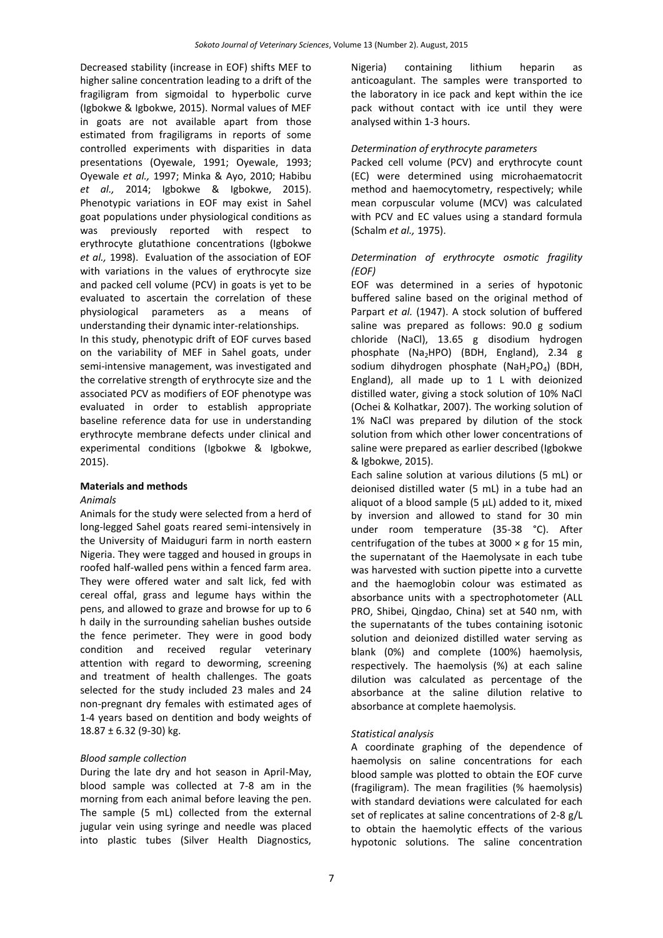Decreased stability (increase in EOF) shifts MEF to higher saline concentration leading to a drift of the fragiligram from sigmoidal to hyperbolic curve (Igbokwe & Igbokwe, 2015). Normal values of MEF in goats are not available apart from those estimated from fragiligrams in reports of some controlled experiments with disparities in data presentations (Oyewale, 1991; Oyewale, 1993; Oyewale *et al.,* 1997; Minka & Ayo, 2010; Habibu *et al.,* 2014; Igbokwe & Igbokwe, 2015). Phenotypic variations in EOF may exist in Sahel goat populations under physiological conditions as was previously reported with respect to erythrocyte glutathione concentrations (Igbokwe *et al.,* 1998). Evaluation of the association of EOF with variations in the values of erythrocyte size and packed cell volume (PCV) in goats is yet to be evaluated to ascertain the correlation of these physiological parameters as a means of understanding their dynamic inter-relationships. In this study, phenotypic drift of EOF curves based on the variability of MEF in Sahel goats, under semi-intensive management, was investigated and the correlative strength of erythrocyte size and the associated PCV as modifiers of EOF phenotype was evaluated in order to establish appropriate baseline reference data for use in understanding erythrocyte membrane defects under clinical and experimental conditions (Igbokwe & Igbokwe, 2015).

## **Materials and methods**

## *Animals*

Animals for the study were selected from a herd of long-legged Sahel goats reared semi-intensively in the University of Maiduguri farm in north eastern Nigeria. They were tagged and housed in groups in roofed half-walled pens within a fenced farm area. They were offered water and salt lick, fed with cereal offal, grass and legume hays within the pens, and allowed to graze and browse for up to 6 h daily in the surrounding sahelian bushes outside the fence perimeter. They were in good body condition and received regular veterinary attention with regard to deworming, screening and treatment of health challenges. The goats selected for the study included 23 males and 24 non-pregnant dry females with estimated ages of 1-4 years based on dentition and body weights of 18.87 ± 6.32 (9-30) kg.

## *Blood sample collection*

During the late dry and hot season in April-May, blood sample was collected at 7-8 am in the morning from each animal before leaving the pen. The sample (5 mL) collected from the external jugular vein using syringe and needle was placed into plastic tubes (Silver Health Diagnostics,

Nigeria) containing lithium heparin as anticoagulant. The samples were transported to the laboratory in ice pack and kept within the ice pack without contact with ice until they were analysed within 1-3 hours.

#### *Determination of erythrocyte parameters*

Packed cell volume (PCV) and erythrocyte count (EC) were determined using microhaematocrit method and haemocytometry, respectively; while mean corpuscular volume (MCV) was calculated with PCV and EC values using a standard formula (Schalm *et al.,* 1975).

## *Determination of erythrocyte osmotic fragility (EOF)*

EOF was determined in a series of hypotonic buffered saline based on the original method of Parpart *et al.* (1947). A stock solution of buffered saline was prepared as follows: 90.0 g sodium chloride (NaCl), 13.65 g disodium hydrogen phosphate (Na<sub>2</sub>HPO) (BDH, England), 2.34 g sodium dihydrogen phosphate  $(NaH<sub>2</sub>PO<sub>4</sub>)$  (BDH, England), all made up to 1 L with deionized distilled water, giving a stock solution of 10% NaCl (Ochei & Kolhatkar, 2007). The working solution of 1% NaCl was prepared by dilution of the stock solution from which other lower concentrations of saline were prepared as earlier described (Igbokwe & Igbokwe, 2015).

Each saline solution at various dilutions (5 mL) or deionised distilled water (5 mL) in a tube had an aliquot of a blood sample  $(5 \mu L)$  added to it, mixed by inversion and allowed to stand for 30 min under room temperature (35-38 °C). After centrifugation of the tubes at  $3000 \times g$  for 15 min, the supernatant of the Haemolysate in each tube was harvested with suction pipette into a curvette and the haemoglobin colour was estimated as absorbance units with a spectrophotometer (ALL PRO, Shibei, Qingdao, China) set at 540 nm, with the supernatants of the tubes containing isotonic solution and deionized distilled water serving as blank (0%) and complete (100%) haemolysis, respectively. The haemolysis (%) at each saline dilution was calculated as percentage of the absorbance at the saline dilution relative to absorbance at complete haemolysis.

## *Statistical analysis*

A coordinate graphing of the dependence of haemolysis on saline concentrations for each blood sample was plotted to obtain the EOF curve (fragiligram). The mean fragilities (% haemolysis) with standard deviations were calculated for each set of replicates at saline concentrations of 2-8 g/L to obtain the haemolytic effects of the various hypotonic solutions. The saline concentration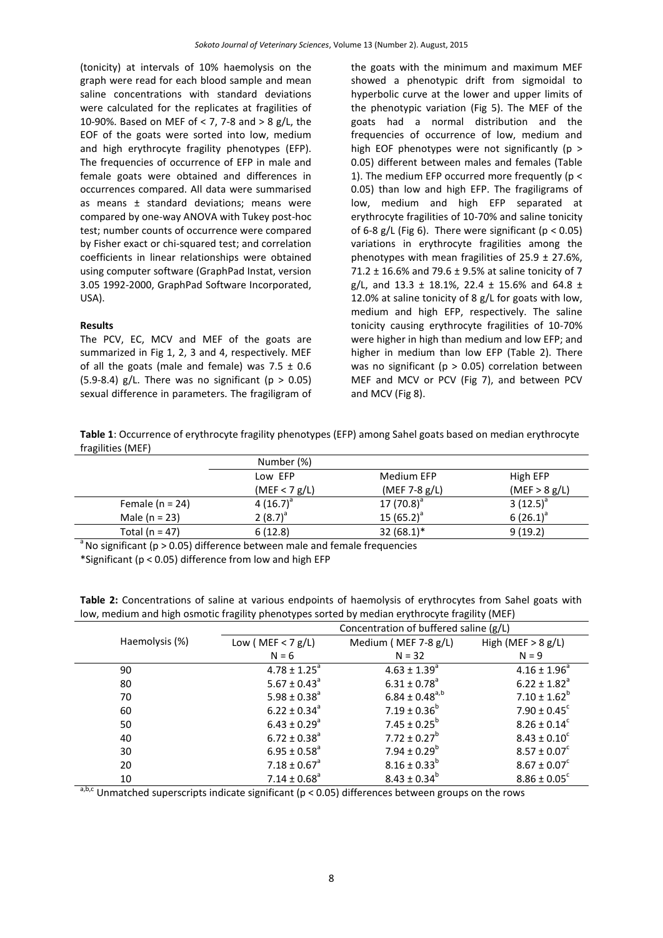(tonicity) at intervals of 10% haemolysis on the graph were read for each blood sample and mean saline concentrations with standard deviations were calculated for the replicates at fragilities of 10-90%. Based on MEF of < 7, 7-8 and > 8 g/L, the EOF of the goats were sorted into low, medium and high erythrocyte fragility phenotypes (EFP). The frequencies of occurrence of EFP in male and female goats were obtained and differences in occurrences compared. All data were summarised as means ± standard deviations; means were compared by one-way ANOVA with Tukey post-hoc test; number counts of occurrence were compared by Fisher exact or chi-squared test; and correlation coefficients in linear relationships were obtained using computer software (GraphPad Instat, version 3.05 1992-2000, GraphPad Software Incorporated, USA).

#### **Results**

The PCV, EC, MCV and MEF of the goats are summarized in Fig 1, 2, 3 and 4, respectively. MEF of all the goats (male and female) was  $7.5 \pm 0.6$ (5.9-8.4) g/L. There was no significant ( $p > 0.05$ ) sexual difference in parameters. The fragiligram of the goats with the minimum and maximum MEF showed a phenotypic drift from sigmoidal to hyperbolic curve at the lower and upper limits of the phenotypic variation (Fig 5). The MEF of the goats had a normal distribution and the frequencies of occurrence of low, medium and high EOF phenotypes were not significantly ( $p >$ 0.05) different between males and females (Table 1). The medium EFP occurred more frequently ( $p <$ 0.05) than low and high EFP. The fragiligrams of low, medium and high EFP separated at erythrocyte fragilities of 10-70% and saline tonicity of 6-8 g/L (Fig 6). There were significant ( $p < 0.05$ ) variations in erythrocyte fragilities among the phenotypes with mean fragilities of  $25.9 \pm 27.6$ %, 71.2  $\pm$  16.6% and 79.6  $\pm$  9.5% at saline tonicity of 7 g/L, and  $13.3 \pm 18.1\%$ , 22.4  $\pm$  15.6% and 64.8  $\pm$ 12.0% at saline tonicity of 8 g/L for goats with low, medium and high EFP, respectively. The saline tonicity causing erythrocyte fragilities of 10-70% were higher in high than medium and low EFP; and higher in medium than low EFP (Table 2). There was no significant ( $p > 0.05$ ) correlation between MEF and MCV or PCV (Fig 7), and between PCV and MCV (Fig 8).

**Table 1**: Occurrence of erythrocyte fragility phenotypes (EFP) among Sahel goats based on median erythrocyte fragilities (MEF)

|                     | Number (%)    |                  |               |
|---------------------|---------------|------------------|---------------|
|                     | Low EFP       | Medium EFP       | High EFP      |
|                     | (MEF < 7 g/L) | (MEF 7-8 $g/L$ ) | (MEF > 8 g/L) |
| Female ( $n = 24$ ) | 4 $(16.7)^a$  | 17 $(70.8)^a$    | $3(12.5)^{a}$ |
| Male $(n = 23)$     | 2 $(8.7)^{a}$ | 15 $(65.2)^a$    | $6(26.1)^a$   |
| Total ( $n = 47$ )  | 6(12.8)       | $32(68.1)^*$     | 9(19.2)       |

 $\degree$ No significant (p > 0.05) difference between male and female frequencies

\*Significant (p < 0.05) difference from low and high EFP

|                | Concentration of buffered saline (g/L) |                              |                              |  |
|----------------|----------------------------------------|------------------------------|------------------------------|--|
| Haemolysis (%) | Low ( $MEF < 7 g/L$ )                  | Medium (MEF 7-8 g/L)         | High (MEF $> 8 g/L$ )        |  |
|                | $N = 6$                                | $N = 32$                     | $N = 9$                      |  |
| 90             | $4.78 \pm 1.25^a$                      | $4.63 \pm 1.39$ <sup>a</sup> | $4.16 \pm 1.96^a$            |  |
| 80             | $5.67 \pm 0.43^{\circ}$                | $6.31 \pm 0.78$ <sup>a</sup> | $6.22 \pm 1.82^a$            |  |
| 70             | $5.98 \pm 0.38$ <sup>a</sup>           | $6.84 \pm 0.48^{a,b}$        | $7.10 \pm 1.62^b$            |  |
| 60             | $6.22 \pm 0.34^a$                      | $7.19 \pm 0.36^b$            | $7.90 \pm 0.45$ <sup>c</sup> |  |
| 50             | $6.43 \pm 0.29$ <sup>a</sup>           | 7.45 ± $0.25^b$              | $8.26 \pm 0.14^c$            |  |
| 40             | $6.72 \pm 0.38^a$                      | $7.72 \pm 0.27^b$            | $8.43 \pm 0.10^c$            |  |
| 30             | $6.95 \pm 0.58^{\circ}$                | 7.94 ± $0.29^b$              | $8.57 \pm 0.07^c$            |  |
| 20             | $7.18 \pm 0.67$ <sup>a</sup>           | $8.16 \pm 0.33^{b}$          | $8.67 \pm 0.07^c$            |  |
| 10             | $7.14 \pm 0.68$ <sup>a</sup>           | $8.43 \pm 0.34^b$            | $8.86 \pm 0.05^c$            |  |

**Table 2:** Concentrations of saline at various endpoints of haemolysis of erythrocytes from Sahel goats with low, medium and high osmotic fragility phenotypes sorted by median erythrocyte fragility (MEF)

 $a,b,c$  Unmatched superscripts indicate significant (p < 0.05) differences between groups on the rows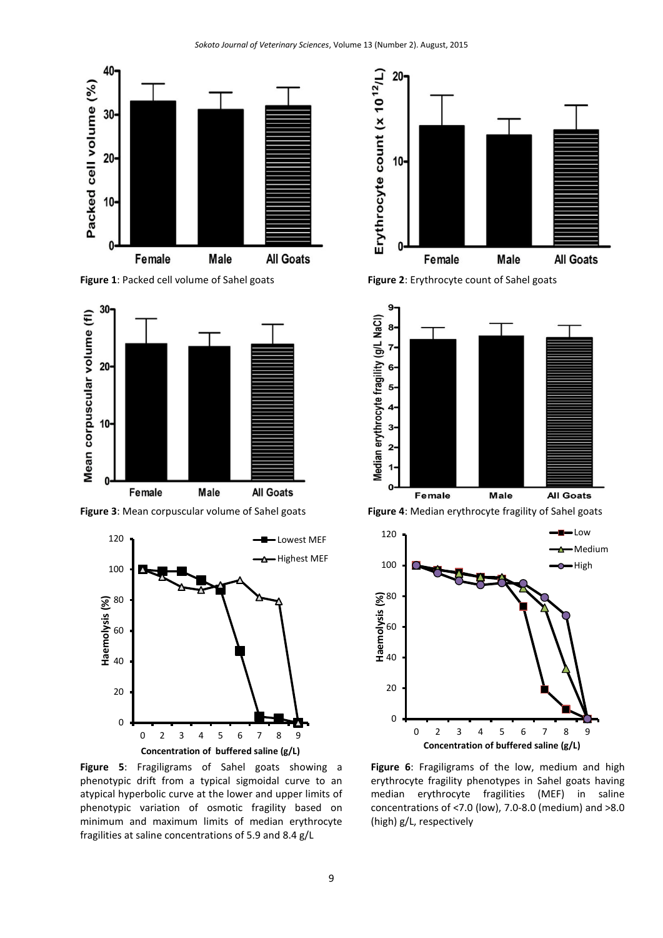

**Figure 1**: Packed cell volume of Sahel goats **Figure 2**: Erythrocyte count of Sahel goats





**Figure 5**: Fragiligrams of Sahel goats showing a phenotypic drift from a typical sigmoidal curve to an atypical hyperbolic curve at the lower and upper limits of phenotypic variation of osmotic fragility based on minimum and maximum limits of median erythrocyte fragilities at saline concentrations of 5.9 and 8.4 g/L





**Figure 3**: Mean corpuscular volume of Sahel goats **Figure 4**: Median erythrocyte fragility of Sahel goats



**Figure 6**: Fragiligrams of the low, medium and high erythrocyte fragility phenotypes in Sahel goats having median erythrocyte fragilities (MEF) in saline concentrations of <7.0 (low), 7.0-8.0 (medium) and >8.0 (high) g/L, respectively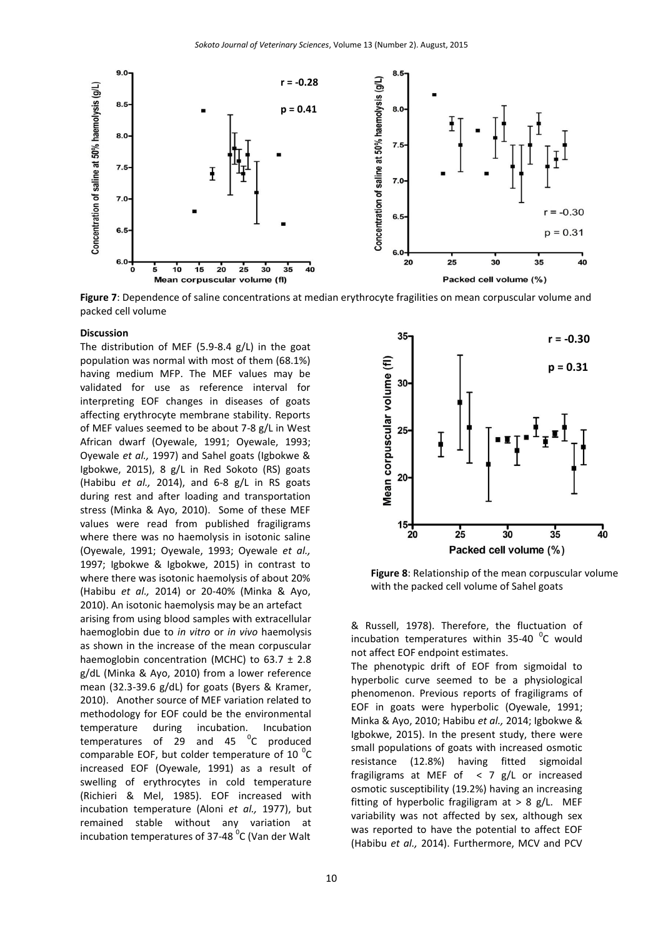

**Figure 7**: Dependence of saline concentrations at median erythrocyte fragilities on mean corpuscular volume and packed cell volume

#### **Discussion**

The distribution of MEF (5.9-8.4 g/L) in the goat population was normal with most of them (68.1%) having medium MFP. The MEF values may be validated for use as reference interval for interpreting EOF changes in diseases of goats affecting erythrocyte membrane stability. Reports of MEF values seemed to be about 7-8 g/L in West African dwarf (Oyewale, 1991; Oyewale, 1993; Oyewale *et al.,* 1997) and Sahel goats (Igbokwe & Igbokwe, 2015), 8 g/L in Red Sokoto (RS) goats (Habibu *et al.,* 2014), and 6-8 g/L in RS goats during rest and after loading and transportation stress (Minka & Ayo, 2010). Some of these MEF values were read from published fragiligrams where there was no haemolysis in isotonic saline (Oyewale, 1991; Oyewale, 1993; Oyewale *et al.,* 1997; Igbokwe & Igbokwe, 2015) in contrast to where there was isotonic haemolysis of about 20% (Habibu *et al.,* 2014) or 20-40% (Minka & Ayo, 2010). An isotonic haemolysis may be an artefact

arising from using blood samples with extracellular haemoglobin due to *in vitro* or *in vivo* haemolysis as shown in the increase of the mean corpuscular haemoglobin concentration (MCHC) to  $63.7 \pm 2.8$ g/dL (Minka & Ayo, 2010) from a lower reference mean (32.3-39.6 g/dL) for goats (Byers & Kramer, 2010). Another source of MEF variation related to methodology for EOF could be the environmental temperature during incubation. Incubation temperatures of 29 and 45  $\mathrm{^0C}$  produced comparable EOF, but colder temperature of 10 $^{0}$ C increased EOF (Oyewale, 1991) as a result of swelling of erythrocytes in cold temperature (Richieri & Mel, 1985). EOF increased with incubation temperature (Aloni *et al.,* 1977), but remained stable without any variation at incubation temperatures of 37-48  $\mathrm{^0C}$  (Van der Walt



**Figure 8**: Relationship of the mean corpuscular volume with the packed cell volume of Sahel goats

& Russell, 1978). Therefore, the fluctuation of incubation temperatures within  $35-40$  °C would not affect EOF endpoint estimates.

The phenotypic drift of EOF from sigmoidal to hyperbolic curve seemed to be a physiological phenomenon. Previous reports of fragiligrams of EOF in goats were hyperbolic (Oyewale, 1991; Minka & Ayo, 2010; Habibu *et al.,* 2014; Igbokwe & Igbokwe, 2015). In the present study, there were small populations of goats with increased osmotic resistance (12.8%) having fitted sigmoidal fragiligrams at MEF of < 7 g/L or increased osmotic susceptibility (19.2%) having an increasing fitting of hyperbolic fragiligram at > 8 g/L. MEF variability was not affected by sex, although sex was reported to have the potential to affect EOF (Habibu *et al.,* 2014). Furthermore, MCV and PCV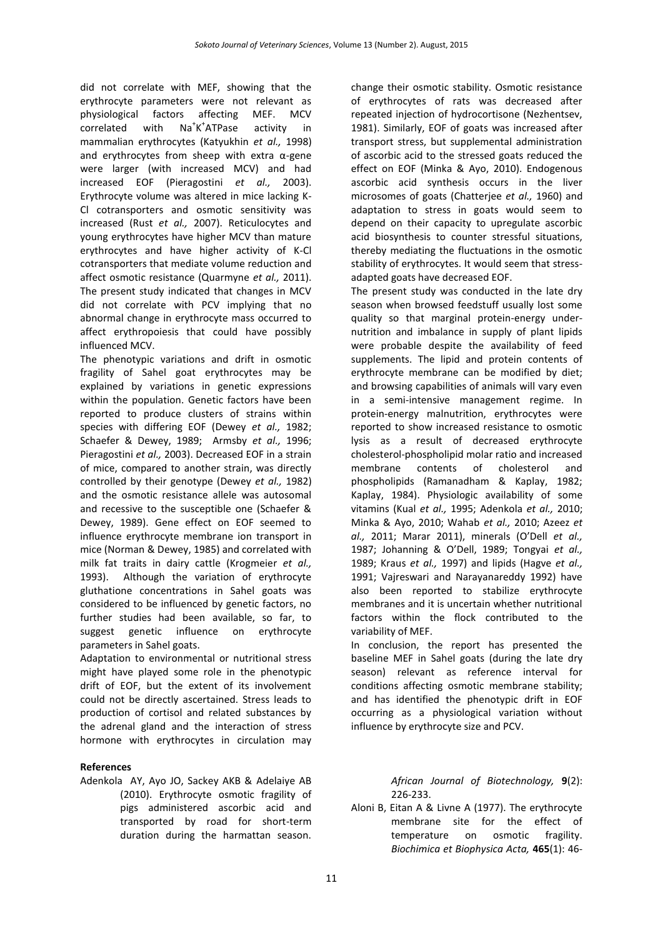did not correlate with MEF, showing that the erythrocyte parameters were not relevant as physiological factors affecting MEF. MCV correlated with  $K^+$ activity in mammalian erythrocytes (Katyukhin *et al.,* 1998) and erythrocytes from sheep with extra α-gene were larger (with increased MCV) and had increased EOF (Pieragostini *et al.,* 2003). Erythrocyte volume was altered in mice lacking K-Cl cotransporters and osmotic sensitivity was increased (Rust *et al.,* 2007). Reticulocytes and young erythrocytes have higher MCV than mature erythrocytes and have higher activity of K-Cl cotransporters that mediate volume reduction and affect osmotic resistance (Quarmyne *et al.,* 2011). The present study indicated that changes in MCV did not correlate with PCV implying that no abnormal change in erythrocyte mass occurred to affect erythropoiesis that could have possibly influenced MCV.

The phenotypic variations and drift in osmotic fragility of Sahel goat erythrocytes may be explained by variations in genetic expressions within the population. Genetic factors have been reported to produce clusters of strains within species with differing EOF (Dewey *et al.,* 1982; Schaefer & Dewey, 1989; Armsby *et al.,* 1996; Pieragostini *et al.,* 2003). Decreased EOF in a strain of mice, compared to another strain, was directly controlled by their genotype (Dewey *et al.,* 1982) and the osmotic resistance allele was autosomal and recessive to the susceptible one (Schaefer & Dewey, 1989). Gene effect on EOF seemed to influence erythrocyte membrane ion transport in mice (Norman & Dewey, 1985) and correlated with milk fat traits in dairy cattle (Krogmeier *et al.,* 1993). Although the variation of erythrocyte gluthatione concentrations in Sahel goats was considered to be influenced by genetic factors, no further studies had been available, so far, to suggest genetic influence on erythrocyte parameters in Sahel goats.

Adaptation to environmental or nutritional stress might have played some role in the phenotypic drift of EOF, but the extent of its involvement could not be directly ascertained. Stress leads to production of cortisol and related substances by the adrenal gland and the interaction of stress hormone with erythrocytes in circulation may

## **References**

Adenkola AY, Ayo JO, Sackey AKB & Adelaiye AB (2010). Erythrocyte osmotic fragility of pigs administered ascorbic acid and transported by road for short-term duration during the harmattan season.

change their osmotic stability. Osmotic resistance of erythrocytes of rats was decreased after repeated injection of hydrocortisone (Nezhentsev, 1981). Similarly, EOF of goats was increased after transport stress, but supplemental administration of ascorbic acid to the stressed goats reduced the effect on EOF (Minka & Ayo, 2010). Endogenous ascorbic acid synthesis occurs in the liver microsomes of goats (Chatterjee *et al.,* 1960) and adaptation to stress in goats would seem to depend on their capacity to upregulate ascorbic acid biosynthesis to counter stressful situations, thereby mediating the fluctuations in the osmotic stability of erythrocytes. It would seem that stressadapted goats have decreased EOF.

The present study was conducted in the late dry season when browsed feedstuff usually lost some quality so that marginal protein-energy undernutrition and imbalance in supply of plant lipids were probable despite the availability of feed supplements. The lipid and protein contents of erythrocyte membrane can be modified by diet; and browsing capabilities of animals will vary even in a semi-intensive management regime. In protein-energy malnutrition, erythrocytes were reported to show increased resistance to osmotic lysis as a result of decreased erythrocyte cholesterol-phospholipid molar ratio and increased membrane contents of cholesterol and phospholipids (Ramanadham & Kaplay, 1982; Kaplay, 1984). Physiologic availability of some vitamins (Kual *et al.,* 1995; Adenkola *et al.,* 2010; Minka & Ayo, 2010; Wahab *et al.,* 2010; Azeez *et al.,* 2011; Marar 2011), minerals (O'Dell *et al.,* 1987; Johanning & O'Dell, 1989; Tongyai *et al.,* 1989; Kraus *et al.,* 1997) and lipids (Hagve *et al.,* 1991; Vajreswari and Narayanareddy 1992) have also been reported to stabilize erythrocyte membranes and it is uncertain whether nutritional factors within the flock contributed to the variability of MEF.

In conclusion, the report has presented the baseline MEF in Sahel goats (during the late dry season) relevant as reference interval for conditions affecting osmotic membrane stability; and has identified the phenotypic drift in EOF occurring as a physiological variation without influence by erythrocyte size and PCV.

> *African Journal of Biotechnology,* **9**(2): 226-233.

Aloni B, Eitan A & Livne A (1977). The erythrocyte membrane site for the effect of temperature on osmotic fragility. *Biochimica et Biophysica Acta,* **465**(1): 46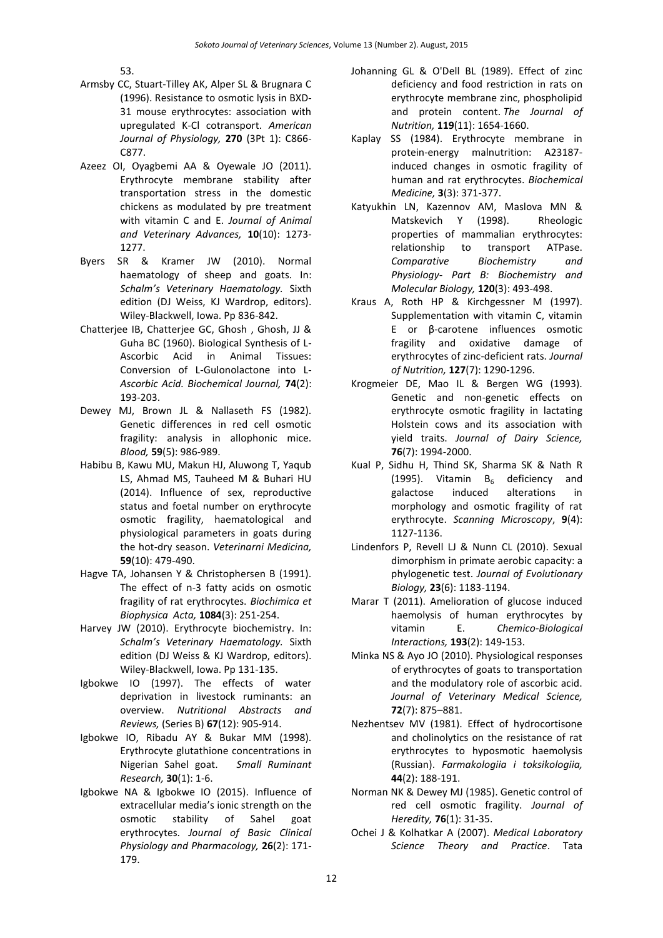53.

- Armsby CC, Stuart-Tilley AK, Alper SL & Brugnara C (1996). Resistance to osmotic lysis in BXD-31 mouse erythrocytes: association with upregulated K-Cl cotransport. *American Journal of Physiology,* **270** (3Pt 1): C866- C877.
- Azeez OI, Oyagbemi AA & Oyewale JO (2011). Erythrocyte membrane stability after transportation stress in the domestic chickens as modulated by pre treatment with vitamin C and E. *Journal of Animal and Veterinary Advances,* **10**(10): 1273- 1277.
- Byers SR & Kramer JW (2010). Normal haematology of sheep and goats. In: *Schalm's Veterinary Haematology.* Sixth edition (DJ Weiss, KJ Wardrop, editors). Wiley-Blackwell, Iowa. Pp 836-842.
- Chatterjee IB, Chatterjee GC, Ghosh , Ghosh, JJ & Guha BC (1960). Biological Synthesis of L-Ascorbic Acid in Animal Tissues: Conversion of L-Gulonolactone into L-*Ascorbic Acid. Biochemical Journal,* **74**(2): 193-203.
- Dewey MJ, Brown JL & Nallaseth FS (1982). Genetic differences in red cell osmotic fragility: analysis in allophonic mice. *Blood,* **59**(5): 986-989.
- Habibu B, Kawu MU, Makun HJ, Aluwong T, Yaqub LS, Ahmad MS, Tauheed M & Buhari HU (2014). Influence of sex, reproductive status and foetal number on erythrocyte osmotic fragility, haematological and physiological parameters in goats during the hot-dry season. *Veterinarni Medicina,* **59**(10): 479-490.
- Hagve TA, Johansen Y & Christophersen B (1991). The effect of n-3 fatty acids on osmotic fragility of rat erythrocytes. *Biochimica et Biophysica Acta,* **1084**(3): 251-254.
- Harvey JW (2010). Erythrocyte biochemistry. In: *Schalm's Veterinary Haematology.* Sixth edition (DJ Weiss & KJ Wardrop, editors). Wiley-Blackwell, Iowa. Pp 131-135.
- Igbokwe IO (1997). The effects of water deprivation in livestock ruminants: an overview. *Nutritional Abstracts and Reviews,* (Series B) **67**(12): 905-914.
- Igbokwe IO, Ribadu AY & Bukar MM (1998). Erythrocyte glutathione concentrations in Nigerian Sahel goat. *Small Ruminant Research,* **30**(1): 1-6.
- Igbokwe NA & Igbokwe IO (2015). Influence of extracellular media's ionic strength on the osmotic stability of Sahel goat erythrocytes. *Journal of Basic Clinical Physiology and Pharmacology,* **26**(2): 171- 179.
- Johanning GL & O'Dell BL (1989). Effect of zinc deficiency and food restriction in rats on erythrocyte membrane zinc, phospholipid and protein content. *The Journal of Nutrition,* **119**(11): 1654-1660.
- Kaplay SS (1984). Erythrocyte membrane in protein-energy malnutrition: A23187 induced changes in osmotic fragility of human and rat erythrocytes. *Biochemical Medicine,* **3**(3): 371-377.
- Katyukhin LN, Kazennov AM, Maslova MN & Matskevich Y (1998). Rheologic properties of mammalian erythrocytes: relationship to transport ATPase. *Comparative Biochemistry and Physiology- Part B: Biochemistry and Molecular Biology,* **120**(3): 493-498.
- Kraus A, Roth HP & Kirchgessner M (1997). Supplementation with vitamin C, vitamin E or β-carotene influences osmotic fragility and oxidative damage of erythrocytes of zinc-deficient rats. *Journal of Nutrition,* **127**(7): 1290-1296.
- Krogmeier DE, Mao IL & Bergen WG (1993). Genetic and non-genetic effects on erythrocyte osmotic fragility in lactating Holstein cows and its association with yield traits. *Journal of Dairy Science,* **76**(7): 1994-2000.
- Kual P, Sidhu H, Thind SK, Sharma SK & Nath R (1995). Vitamin  $B_6$  deficiency and galactose induced alterations in galactose induced alterations in morphology and osmotic fragility of rat erythrocyte. *Scanning Microscopy*, **9**(4): 1127-1136.
- Lindenfors P, Revell LJ & Nunn CL (2010). Sexual dimorphism in primate aerobic capacity: a phylogenetic test. *Journal of Evolutionary Biology,* **23**(6): 1183-1194.
- Marar T (2011). Amelioration of glucose induced haemolysis of human erythrocytes by vitamin E. *Chemico-Biological Interactions,* **193**(2): 149-153.
- Minka NS & Ayo JO (2010). Physiological responses of erythrocytes of goats to transportation and the modulatory role of ascorbic acid. *Journal of Veterinary Medical Science,* **72**(7): 875–881.
- Nezhentsev MV (1981). Effect of hydrocortisone and cholinolytics on the resistance of rat erythrocytes to hyposmotic haemolysis (Russian). *Farmakologiia i toksikologiia,* **44**(2): 188-191.
- Norman NK & Dewey MJ (1985). Genetic control of red cell osmotic fragility. *Journal of Heredity,* **76**(1): 31-35.
- Ochei J & Kolhatkar A (2007). *Medical Laboratory Science Theory and Practice*. Tata